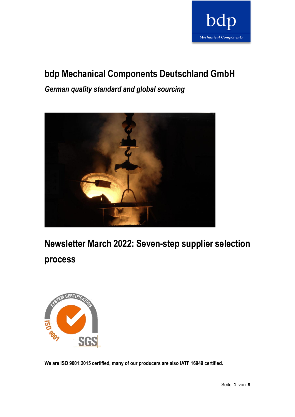

# **bdp Mechanical Components Deutschland GmbH**

*German quality standard and global sourcing*



**Newsletter March 2022: Seven-step supplier selection** 

**process**



**We are ISO 9001:2015 certified, many of our producers are also IATF 16949 certified.**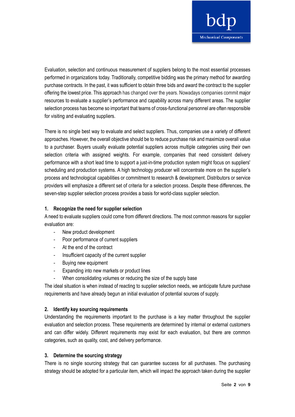

Evaluation, selection and continuous measurement of suppliers belong to the most essential processes performed in organizations today. Traditionally, competitive bidding was the primary method for awarding purchase contracts. In the past, it was sufficient to obtain three bids and award the contract to the supplier offering the lowest price. This approach has changed over the years. Nowadays companies commit major resources to evaluate a supplier's performance and capability across many different areas. The supplier selection process has become so important that teams of cross-functional personnel are often responsible for visiting and evaluating suppliers.

There is no single best way to evaluate and select suppliers. Thus, companies use a variety of different approaches. However, the overall objective should be to reduce purchase risk and maximize overall value to a purchaser. Buyers usually evaluate potential suppliers across multiple categories using their own selection criteria with assigned weights. For example, companies that need consistent delivery performance with a short lead time to support a just-in-time production system might focus on suppliers' scheduling and production systems. A high technology producer will concentrate more on the supplier's process and technological capabilities or commitment to research & development. Distributors or service providers will emphasize a different set of criteria for a selection process. Despite these differences, the seven-step supplier selection process provides a basis for world-class supplier selection.

# **1. Recognize the need for supplier selection**

A need to evaluate suppliers could come from different directions. The most common reasons for supplier evaluation are:

- New product development
- Poor performance of current suppliers
- At the end of the contract
- Insufficient capacity of the current supplier
- Buying new equipment
- Expanding into new markets or product lines
- When consolidating volumes or reducing the size of the supply base

The ideal situation is when instead of reacting to supplier selection needs, we anticipate future purchase requirements and have already begun an initial evaluation of potential sources of supply.

# **2. Identify key sourcing requirements**

Understanding the requirements important to the purchase is a key matter throughout the supplier evaluation and selection process. These requirements are determined by internal or external customers and can differ widely. Different requirements may exist for each evaluation, but there are common categories, such as quality, cost, and delivery performance.

# **3. Determine the sourcing strategy**

There is no single sourcing strategy that can guarantee success for all purchases. The purchasing strategy should be adopted for a particular item, which will impact the approach taken during the supplier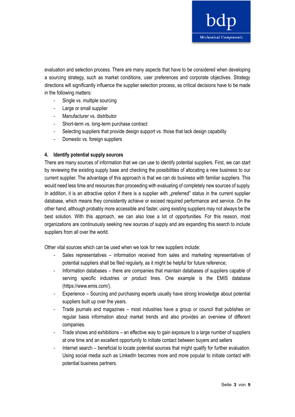

evaluation and selection process. There are many aspects that have to be considered when developing a sourcing strategy, such as market conditions, user preferences and corporate objectives. Strategy directions will significantly influence the supplier selection process, as critical decisions have to be made in the following matters:

- Single vs. multiple sourcing
- Large or small supplier
- Manufacturer vs. distributor
- Short-term vs. long-term purchase contract
- Selecting suppliers that provide design support vs. those that lack design capability
- Domestic vs. foreign suppliers

#### **4. Identify potential supply sources**

There are many sources of information that we can use to identify potential suppliers. First, we can start by reviewing the existing supply base and checking the possibilities of allocating a new business to our current supplier. The advantage of this approach is that we can do business with familiar suppliers. This would need less time and resources than proceeding with evaluating of completely new sources of supply. In addition, it is an attractive option if there is a supplier with "preferred" status in the current supplier database, which means they consistently achieve or exceed required performance and service. On the other hand, although probably more accessible and faster, using existing suppliers may not always be the best solution. With this approach, we can also lose a lot of opportunities. For this reason, most organizations are continuously seeking new sources of supply and are expanding this search to include suppliers from all over the world.

Other vital sources which can be used when we look for new suppliers include:

- Sales representatives information received from sales and marketing representatives of potential suppliers shall be filed regularly, as it might be helpful for future reference;
- Information databases there are companies that maintain databases of suppliers capable of serving specific industries or product lines. One example is the EMIS database (https://www.emis.com/).
- Experience Sourcing and purchasing experts usually have strong knowledge about potential suppliers built up over the years.
- Trade journals and magazines most industries have a group or council that publishes on regular basis information about market trends and also provides an overview of different companies.
- Trade shows and exhibitions an effective way to gain exposure to a large number of suppliers at one time and an excellent opportunity to initiate contact between buyers and sellers
- Internet search beneficial to locate potential sources that might qualify for further evaluation. Using social media such as LinkedIn becomes more and more popular to initiate contact with potential business partners.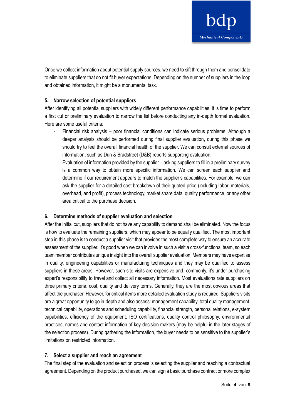

Once we collect information about potential supply sources, we need to sift through them and consolidate to eliminate suppliers that do not fit buyer expectations. Depending on the number of suppliers in the loop and obtained information, it might be a monumental task.

## **5. Narrow selection of potential suppliers**

After identifying all potential suppliers with widely different performance capabilities, it is time to perform a first cut or preliminary evaluation to narrow the list before conducting any in-depth formal evaluation. Here are some useful criteria:

- Financial risk analysis poor financial conditions can indicate serious problems. Although a deeper analysis should be performed during final supplier evaluation, during this phase we should try to feel the overall financial health of the supplier. We can consult external sources of information, such as Dun & Bradstreet (D&B) reports supporting evaluation.
- Evaluation of information provided by the supplier asking suppliers to fill in a preliminary survey is a common way to obtain more specific information. We can screen each supplier and determine if our requirement appears to match the supplier's capabilities. For example, we can ask the supplier for a detailed cost breakdown of their quoted price (including labor, materials, overhead, and profit), process technology, market share data, quality performance, or any other area critical to the purchase decision.

# **6. Determine methods of supplier evaluation and selection**

After the initial cut, suppliers that do not have any capability to demand shall be eliminated. Now the focus is how to evaluate the remaining suppliers, which may appear to be equally qualified. The most important step in this phase is to conduct a supplier visit that provides the most complete way to ensure an accurate assessment of the supplier. It's good when we can involve in such a visit a cross-functional team, so each team member contributes unique insight into the overall supplier evaluation. Members may have expertise in quality, engineering capabilities or manufacturing techniques and they may be qualified to assess suppliers in these areas. However, such site visits are expensive and, commonly, it's under purchasing expert's responsibility to travel and collect all necessary information. Most evaluations rate suppliers on three primary criteria: cost, quality and delivery terms. Generally, they are the most obvious areas that affect the purchaser. However, for critical items more detailed evaluation study is required. Suppliers visits are a great opportunity to go in-depth and also assess: management capability, total quality management, technical capability, operations and scheduling capability, financial strength, personal relations, e-system capabilities, efficiency of the equipment, ISO certifications, quality control philosophy, environmental practices, names and contact information of key-decision makers (may be helpful in the later stages of the selection process). During gathering the information, the buyer needs to be sensitive to the supplier's limitations on restricted information.

#### **7. Select a supplier and reach an agreement**

The final step of the evaluation and selection process is selecting the supplier and reaching a contractual agreement. Depending on the product purchased, we can sign a basic purchase contract or more complex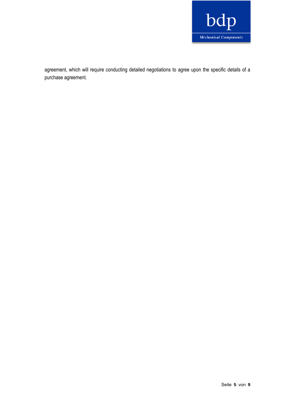

agreement, which will require conducting detailed negotiations to agree upon the specific details of a purchase agreement.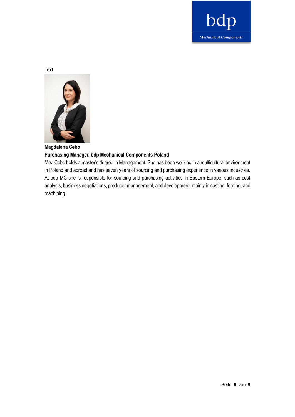

**Text**



#### **Magdalena Cebo**

# **Purchasing Manager, bdp Mechanical Components Poland**

Mrs. Cebo holds a master's degree in Management. She has been working in a multicultural environment in Poland and abroad and has seven years of sourcing and purchasing experience in various industries. At bdp MC she is responsible for sourcing and purchasing activities in Eastern Europe, such as cost analysis, business negotiations, producer management, and development, mainly in casting, forging, and machining.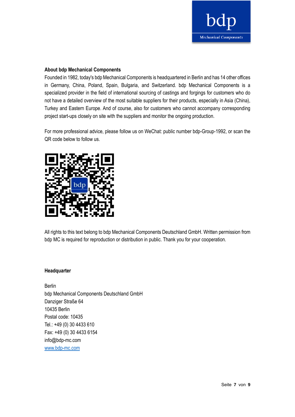

#### **About bdp Mechanical Components**

Founded in 1982, today's bdp Mechanical Components is headquartered in Berlin and has 14 other offices in Germany, China, Poland, Spain, Bulgaria, and Switzerland. bdp Mechanical Components is a specialized provider in the field of international sourcing of castings and forgings for customers who do not have a detailed overview of the most suitable suppliers for their products, especially in Asia (China), Turkey and Eastern Europe. And of course, also for customers who cannot accompany corresponding project start-ups closely on site with the suppliers and monitor the ongoing production.

For more professional advice, please follow us on WeChat: public number bdp-Group-1992, or scan the QR code below to follow us.



All rights to this text belong to bdp Mechanical Components Deutschland GmbH. Written permission from bdp MC is required for reproduction or distribution in public. Thank you for your cooperation.

#### **Headquarter**

Berlin bdp Mechanical Components Deutschland GmbH Danziger Straße 64 10435 Berlin Postal code: 10435 Tel.: +49 (0) 30 4433 610 Fax: +49 (0) 30 4433 6154 info@bdp-mc.com [www.bdp-mc.com](http://www.bdp-mc.com/)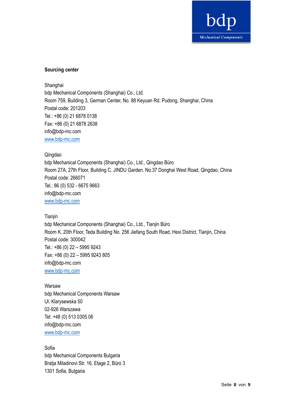

# **Sourcing center**

Shanghai bdp Mechanical Components (Shanghai) Co., Ltd. Room 759, Building 3, German Center, No. 88 Keyuan Rd. Pudong, Shanghai, China Postal code: 201203 Tel.: +86 (0) 21 6878 0138 Fax: +86 (0) 21 6878 2638 info@bdp-mc.com [www.bdp-mc.com](http://www.bdp-mc.com/)

#### Qingdao

bdp Mechanical Components (Shanghai) Co., Ltd., Qingdao Büro Room 27A, 27th Floor, Building C. JINDU Garden. No.37 Donghai West Road, Qingdao, China Postal code: 266071 Tel.: 86 (0) 532 - 6675 9663 info@bdp-mc.com [www.bdp-mc.com](http://www.bdp-mc.com/)

#### **Tianjin**

bdp Mechanical Components (Shanghai) Co., Ltd., Tianjin Büro Room K, 20th Floor, Teda Building No. 256 Jiefang South Road, Hexi District, Tianjin, China Postal code: 300042 Tel.: +86 (0) 22 – 5995 9243 Fax: +86 (0) 22 – 5995 9243 805 info@bdp-mc.com [www.bdp-mc.com](http://www.bdp-mc.com/)

#### Warsaw

bdp Mechanical Components Warsaw Ul. Klarysewska 50 02-926 Warszawa Tel: +48 (0) 513 0305 06 info@bdp-mc.com [www.bdp-mc.com](http://www.bdp-mc.com/)

#### Sofia

bdp Mechanical Components Bulgaria Bratja Miladinovi Str. 16, Etage 2, Büro 3 1301 Sofia, Bulgaria